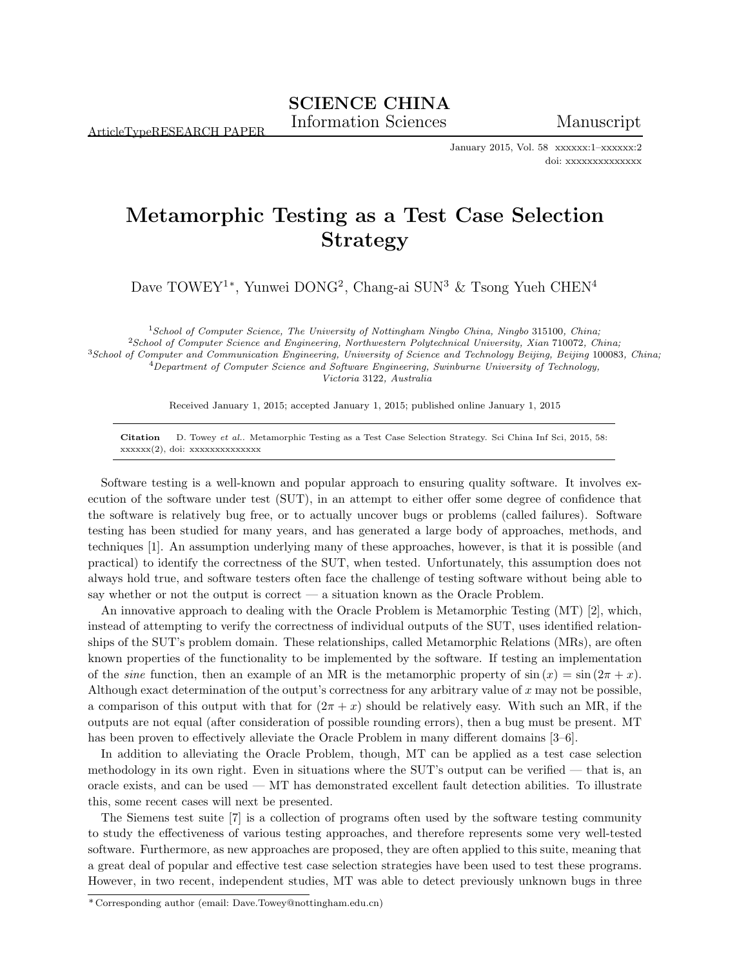ArticleTypeRESEARCH PAPER

January 2015, Vol. 58 xxxxxx:1–xxxxxx:2 doi: xxxxxxxxxxxxxx

## Metamorphic Testing as a Test Case Selection Strategy

Dave TOWEY<sup>1\*</sup>, Yunwei DONG<sup>2</sup>, Chang-ai SUN<sup>3</sup> & Tsong Yueh CHEN<sup>4</sup>

<sup>1</sup>School of Computer Science, The University of Nottingham Ningbo China, Ningbo 315100, China;  $^2$ School of Computer Science and Engineering, Northwestern Polytechnical University, Xian 710072, China; <sup>3</sup>School of Computer and Communication Engineering, University of Science and Technology Beijing, Beijing 100083, China;  $4$ Department of Computer Science and Software Engineering, Swinburne University of Technology, Victoria 3122, Australia

Received January 1, 2015; accepted January 1, 2015; published online January 1, 2015

Citation D. Towey et al.. Metamorphic Testing as a Test Case Selection Strategy. Sci China Inf Sci, 2015, 58: xxxxxx(2), doi: xxxxxxxxxxxxxx

Software testing is a well-known and popular approach to ensuring quality software. It involves execution of the software under test (SUT), in an attempt to either offer some degree of confidence that the software is relatively bug free, or to actually uncover bugs or problems (called failures). Software testing has been studied for many years, and has generated a large body of approaches, methods, and techniques [1]. An assumption underlying many of these approaches, however, is that it is possible (and practical) to identify the correctness of the SUT, when tested. Unfortunately, this assumption does not always hold true, and software testers often face the challenge of testing software without being able to say whether or not the output is correct — a situation known as the Oracle Problem.

An innovative approach to dealing with the Oracle Problem is Metamorphic Testing (MT) [2], which, instead of attempting to verify the correctness of individual outputs of the SUT, uses identified relationships of the SUT's problem domain. These relationships, called Metamorphic Relations (MRs), are often known properties of the functionality to be implemented by the software. If testing an implementation of the sine function, then an example of an MR is the metamorphic property of  $\sin(x) = \sin(2\pi + x)$ . Although exact determination of the output's correctness for any arbitrary value of x may not be possible, a comparison of this output with that for  $(2\pi + x)$  should be relatively easy. With such an MR, if the outputs are not equal (after consideration of possible rounding errors), then a bug must be present. MT has been proven to effectively alleviate the Oracle Problem in many different domains [3–6].

In addition to alleviating the Oracle Problem, though, MT can be applied as a test case selection methodology in its own right. Even in situations where the SUT's output can be verified — that is, an oracle exists, and can be used — MT has demonstrated excellent fault detection abilities. To illustrate this, some recent cases will next be presented.

The Siemens test suite [7] is a collection of programs often used by the software testing community to study the effectiveness of various testing approaches, and therefore represents some very well-tested software. Furthermore, as new approaches are proposed, they are often applied to this suite, meaning that a great deal of popular and effective test case selection strategies have been used to test these programs. However, in two recent, independent studies, MT was able to detect previously unknown bugs in three

<sup>\*</sup> Corresponding author (email: Dave.Towey@nottingham.edu.cn)